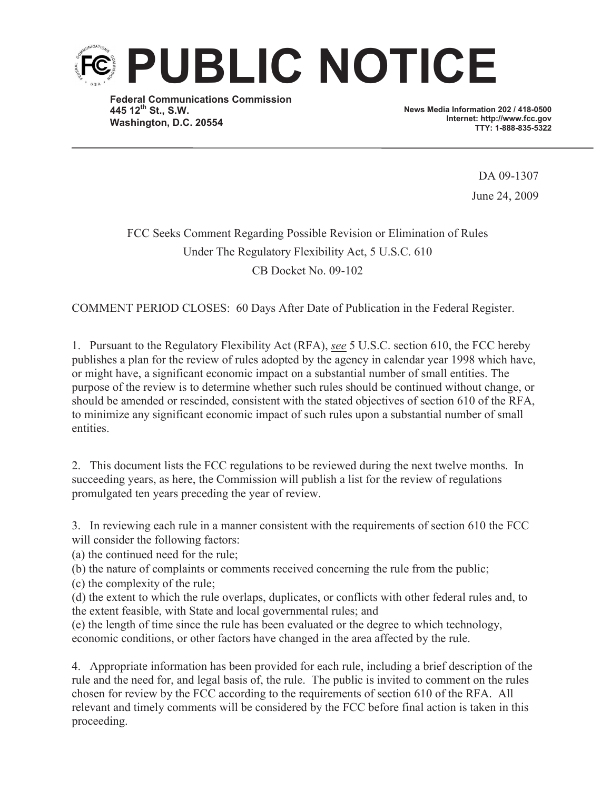

**Federal Communications Commission 445 12th St., S.W. Washington, D.C. 20554**

**News Media Information 202 / 418-0500 Internet: http://www.fcc.gov TTY: 1-888-835-5322**

> DA 09-1307 June 24, 2009

# FCC Seeks Comment Regarding Possible Revision or Elimination of Rules Under The Regulatory Flexibility Act, 5 U.S.C. 610 CB Docket No. 09-102

COMMENT PERIOD CLOSES: 60 Days After Date of Publication in the Federal Register.

1. Pursuant to the Regulatory Flexibility Act (RFA), *see* 5 U.S.C. section 610, the FCC hereby publishes a plan for the review of rules adopted by the agency in calendar year 1998 which have, or might have, a significant economic impact on a substantial number of small entities. The purpose of the review is to determine whether such rules should be continued without change, or should be amended or rescinded, consistent with the stated objectives of section 610 of the RFA, to minimize any significant economic impact of such rules upon a substantial number of small entities.

2. This document lists the FCC regulations to be reviewed during the next twelve months. In succeeding years, as here, the Commission will publish a list for the review of regulations promulgated ten years preceding the year of review.

3. In reviewing each rule in a manner consistent with the requirements of section 610 the FCC will consider the following factors:

(a) the continued need for the rule;

(b) the nature of complaints or comments received concerning the rule from the public;

(c) the complexity of the rule;

(d) the extent to which the rule overlaps, duplicates, or conflicts with other federal rules and, to the extent feasible, with State and local governmental rules; and

(e) the length of time since the rule has been evaluated or the degree to which technology, economic conditions, or other factors have changed in the area affected by the rule.

4. Appropriate information has been provided for each rule, including a brief description of the rule and the need for, and legal basis of, the rule. The public is invited to comment on the rules chosen for review by the FCC according to the requirements of section 610 of the RFA. All relevant and timely comments will be considered by the FCC before final action is taken in this proceeding.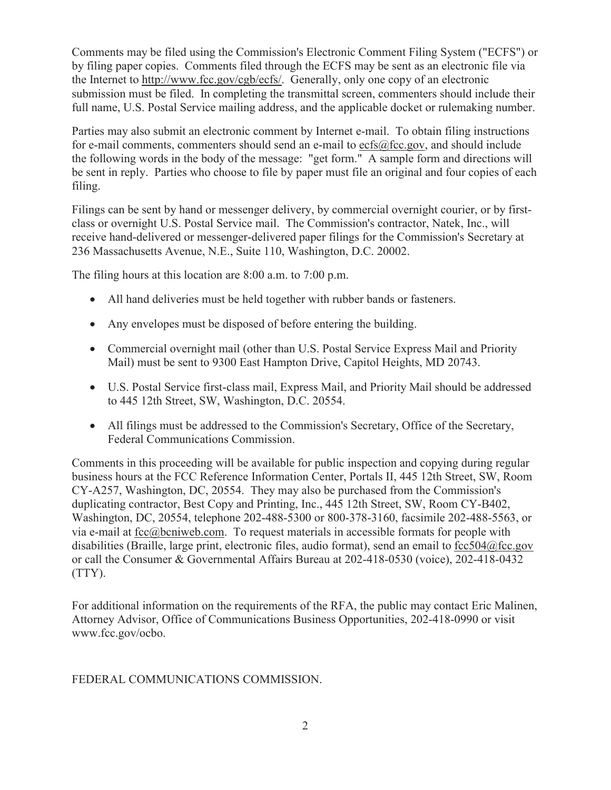Comments may be filed using the Commission's Electronic Comment Filing System ("ECFS") or by filing paper copies. Comments filed through the ECFS may be sent as an electronic file via the Internet to http://www.fcc.gov/cgb/ecfs/. Generally, only one copy of an electronic submission must be filed. In completing the transmittal screen, commenters should include their full name, U.S. Postal Service mailing address, and the applicable docket or rulemaking number.

Parties may also submit an electronic comment by Internet e-mail. To obtain filing instructions for e-mail comments, commenters should send an e-mail to ecfs@fcc.gov, and should include the following words in the body of the message: "get form." A sample form and directions will be sent in reply. Parties who choose to file by paper must file an original and four copies of each filing.

Filings can be sent by hand or messenger delivery, by commercial overnight courier, or by firstclass or overnight U.S. Postal Service mail. The Commission's contractor, Natek, Inc., will receive hand-delivered or messenger-delivered paper filings for the Commission's Secretary at 236 Massachusetts Avenue, N.E., Suite 110, Washington, D.C. 20002.

The filing hours at this location are 8:00 a.m. to 7:00 p.m.

- · All hand deliveries must be held together with rubber bands or fasteners.
- · Any envelopes must be disposed of before entering the building.
- Commercial overnight mail (other than U.S. Postal Service Express Mail and Priority Mail) must be sent to 9300 East Hampton Drive, Capitol Heights, MD 20743.
- · U.S. Postal Service first-class mail, Express Mail, and Priority Mail should be addressed to 445 12th Street, SW, Washington, D.C. 20554.
- All filings must be addressed to the Commission's Secretary, Office of the Secretary, Federal Communications Commission.

Comments in this proceeding will be available for public inspection and copying during regular business hours at the FCC Reference Information Center, Portals II, 445 12th Street, SW, Room CY-A257, Washington, DC, 20554. They may also be purchased from the Commission's duplicating contractor, Best Copy and Printing, Inc., 445 12th Street, SW, Room CY-B402, Washington, DC, 20554, telephone 202-488-5300 or 800-378-3160, facsimile 202-488-5563, or via e-mail at  $\frac{\text{fcc}(a)$  beniweb.com. To request materials in accessible formats for people with disabilities (Braille, large print, electronic files, audio format), send an email to fcc504@fcc.gov or call the Consumer & Governmental Affairs Bureau at 202-418-0530 (voice), 202-418-0432 (TTY).

For additional information on the requirements of the RFA, the public may contact Eric Malinen, Attorney Advisor, Office of Communications Business Opportunities, 202-418-0990 or visit www.fcc.gov/ocbo.

### FEDERAL COMMUNICATIONS COMMISSION.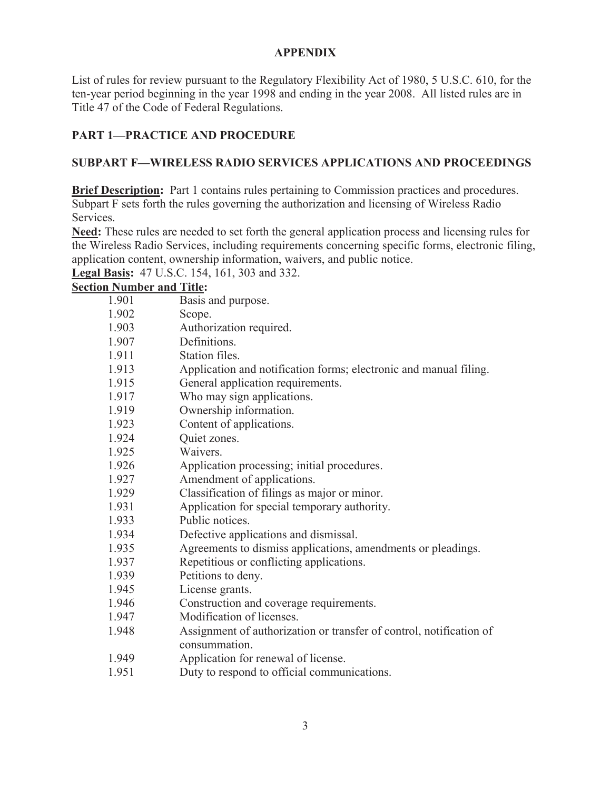### **APPENDIX**

List of rules for review pursuant to the Regulatory Flexibility Act of 1980, 5 U.S.C. 610, for the ten-year period beginning in the year 1998 and ending in the year 2008. All listed rules are in Title 47 of the Code of Federal Regulations.

## **PART 1—PRACTICE AND PROCEDURE**

## **SUBPART F—WIRELESS RADIO SERVICES APPLICATIONS AND PROCEEDINGS**

**Brief Description:** Part 1 contains rules pertaining to Commission practices and procedures. Subpart F sets forth the rules governing the authorization and licensing of Wireless Radio Services.

**Need:** These rules are needed to set forth the general application process and licensing rules for the Wireless Radio Services, including requirements concerning specific forms, electronic filing, application content, ownership information, waivers, and public notice.

**Legal Basis:** 47 U.S.C. 154, 161, 303 and 332.

| 1.901 | Basis and purpose.                                                                   |
|-------|--------------------------------------------------------------------------------------|
| 1.902 | Scope.                                                                               |
| 1.903 | Authorization required.                                                              |
| 1.907 | Definitions.                                                                         |
| 1.911 | Station files.                                                                       |
| 1.913 | Application and notification forms; electronic and manual filing.                    |
| 1.915 | General application requirements.                                                    |
| 1.917 | Who may sign applications.                                                           |
| 1.919 | Ownership information.                                                               |
| 1.923 | Content of applications.                                                             |
| 1.924 | Quiet zones.                                                                         |
| 1.925 | Waivers.                                                                             |
| 1.926 | Application processing; initial procedures.                                          |
| 1.927 | Amendment of applications.                                                           |
| 1.929 | Classification of filings as major or minor.                                         |
| 1.931 | Application for special temporary authority.                                         |
| 1.933 | Public notices.                                                                      |
| 1.934 | Defective applications and dismissal.                                                |
| 1.935 | Agreements to dismiss applications, amendments or pleadings.                         |
| 1.937 | Repetitious or conflicting applications.                                             |
| 1.939 | Petitions to deny.                                                                   |
| 1.945 | License grants.                                                                      |
| 1.946 | Construction and coverage requirements.                                              |
| 1.947 | Modification of licenses.                                                            |
| 1.948 | Assignment of authorization or transfer of control, notification of<br>consummation. |
| 1.949 | Application for renewal of license.                                                  |
| 1.951 | Duty to respond to official communications.                                          |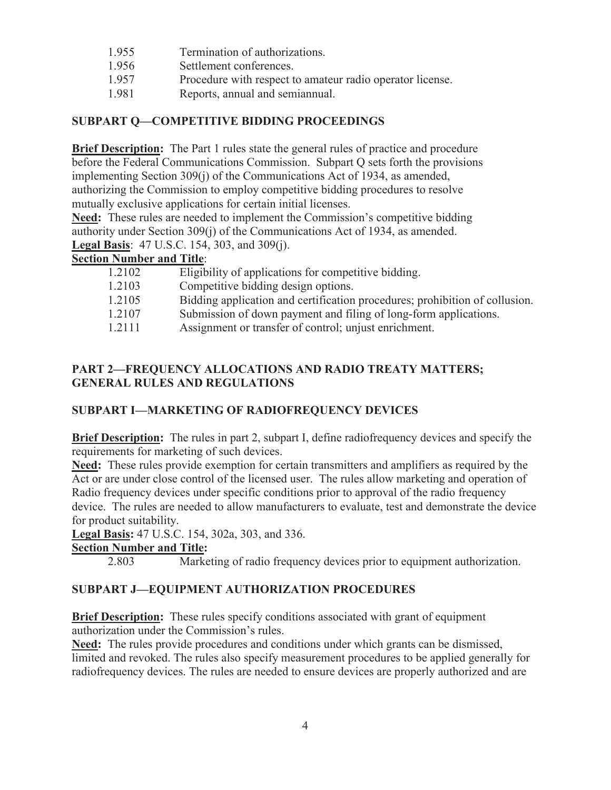- 1.955 Termination of authorizations.
- 1.956 Settlement conferences.
- 1.957 Procedure with respect to amateur radio operator license.
- 1.981 Reports, annual and semiannual.

### **SUBPART Q—COMPETITIVE BIDDING PROCEEDINGS**

**Brief Description:** The Part 1 rules state the general rules of practice and procedure before the Federal Communications Commission. Subpart Q sets forth the provisions implementing Section 309(j) of the Communications Act of 1934, as amended, authorizing the Commission to employ competitive bidding procedures to resolve mutually exclusive applications for certain initial licenses.

**Need:** These rules are needed to implement the Commission's competitive bidding authority under Section 309(j) of the Communications Act of 1934, as amended. **Legal Basis**: 47 U.S.C. 154, 303, and 309(j).

**Section Number and Title**:

| 1.2102 | Eligibility of applications for competitive bidding.                        |
|--------|-----------------------------------------------------------------------------|
| 1.2103 | Competitive bidding design options.                                         |
| 1.2105 | Bidding application and certification procedures; prohibition of collusion. |
| 1.2107 | Submission of down payment and filing of long-form applications.            |
| 1.2111 | Assignment or transfer of control; unjust enrichment.                       |

### **PART 2—FREQUENCY ALLOCATIONS AND RADIO TREATY MATTERS; GENERAL RULES AND REGULATIONS**

### **SUBPART I—MARKETING OF RADIOFREQUENCY DEVICES**

**Brief Description:** The rules in part 2, subpart I, define radiofrequency devices and specify the requirements for marketing of such devices.

**Need:** These rules provide exemption for certain transmitters and amplifiers as required by the Act or are under close control of the licensed user. The rules allow marketing and operation of Radio frequency devices under specific conditions prior to approval of the radio frequency device. The rules are needed to allow manufacturers to evaluate, test and demonstrate the device for product suitability.

**Legal Basis:** 47 U.S.C. 154, 302a, 303, and 336.

#### **Section Number and Title:**

2.803 Marketing of radio frequency devices prior to equipment authorization.

### **SUBPART J—EQUIPMENT AUTHORIZATION PROCEDURES**

**Brief Description:** These rules specify conditions associated with grant of equipment authorization under the Commission's rules.

**Need:** The rules provide procedures and conditions under which grants can be dismissed, limited and revoked. The rules also specify measurement procedures to be applied generally for radiofrequency devices. The rules are needed to ensure devices are properly authorized and are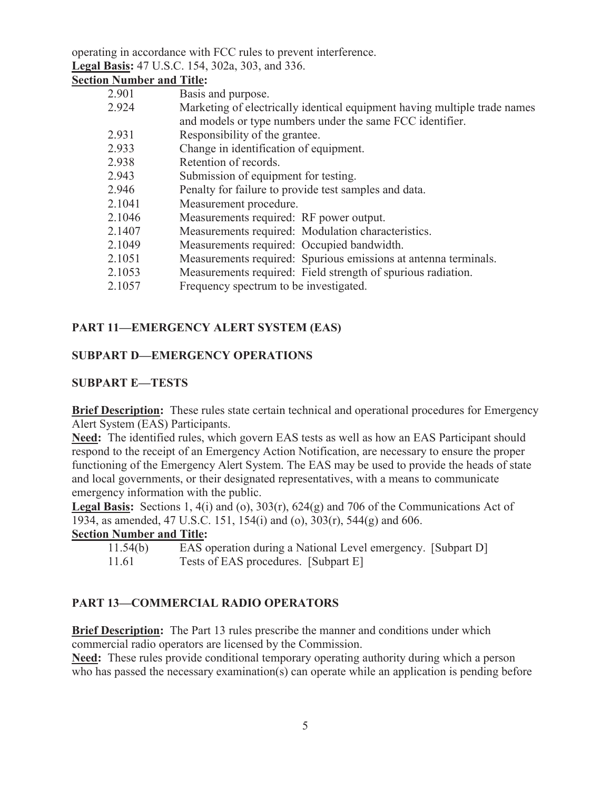operating in accordance with FCC rules to prevent interference. **Legal Basis:** 47 U.S.C. 154, 302a, 303, and 336.

## **Section Number and Title:**

| Basis and purpose.                                                        |
|---------------------------------------------------------------------------|
| Marketing of electrically identical equipment having multiple trade names |
| and models or type numbers under the same FCC identifier.                 |
| Responsibility of the grantee.                                            |
| Change in identification of equipment.                                    |
| Retention of records.                                                     |
| Submission of equipment for testing.                                      |
| Penalty for failure to provide test samples and data.                     |
| Measurement procedure.                                                    |
| Measurements required: RF power output.                                   |
| Measurements required: Modulation characteristics.                        |
| Measurements required: Occupied bandwidth.                                |
| Measurements required: Spurious emissions at antenna terminals.           |
| Measurements required: Field strength of spurious radiation.              |
| Frequency spectrum to be investigated.                                    |
|                                                                           |

## **PART 11—EMERGENCY ALERT SYSTEM (EAS)**

## **SUBPART D—EMERGENCY OPERATIONS**

### **SUBPART E—TESTS**

**Brief Description:** These rules state certain technical and operational procedures for Emergency Alert System (EAS) Participants.

**Need:** The identified rules, which govern EAS tests as well as how an EAS Participant should respond to the receipt of an Emergency Action Notification, are necessary to ensure the proper functioning of the Emergency Alert System. The EAS may be used to provide the heads of state and local governments, or their designated representatives, with a means to communicate emergency information with the public.

**Legal Basis:** Sections 1, 4(i) and (o), 303(r), 624(g) and 706 of the Communications Act of 1934, as amended, 47 U.S.C. 151, 154(i) and (o), 303(r), 544(g) and 606.

### **Section Number and Title:**

- 11.54(b) EAS operation during a National Level emergency. [Subpart D]
- 11.61 Tests of EAS procedures. [Subpart E]

## **PART 13—COMMERCIAL RADIO OPERATORS**

**Brief Description:** The Part 13 rules prescribe the manner and conditions under which commercial radio operators are licensed by the Commission.

**Need:** These rules provide conditional temporary operating authority during which a person who has passed the necessary examination(s) can operate while an application is pending before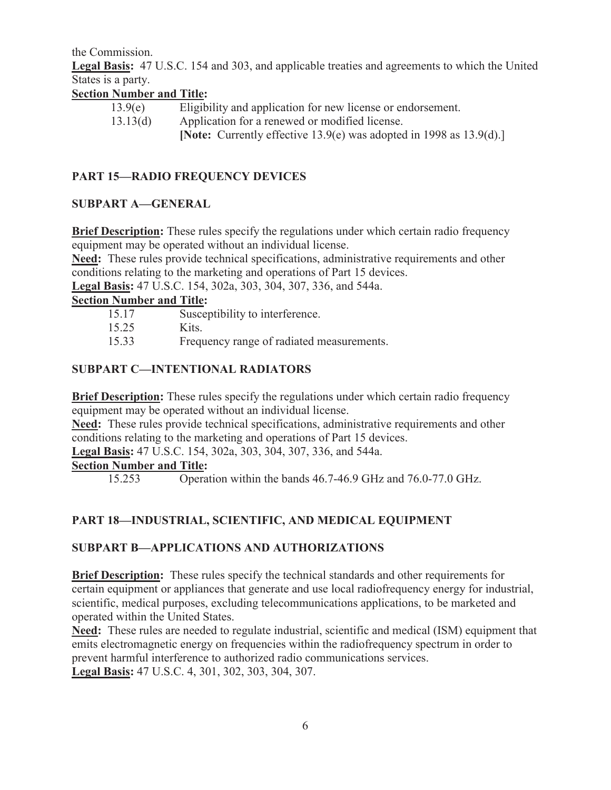the Commission.

**Legal Basis:** 47 U.S.C. 154 and 303, and applicable treaties and agreements to which the United States is a party.

## **Section Number and Title:**

| 13.9(e)  | Eligibility and application for new license or endorsement.              |
|----------|--------------------------------------------------------------------------|
| 13.13(d) | Application for a renewed or modified license.                           |
|          | [Note: Currently effective $13.9(e)$ was adopted in 1998 as $13.9(d)$ .] |

## **PART 15—RADIO FREQUENCY DEVICES**

### **SUBPART A—GENERAL**

**Brief Description:** These rules specify the regulations under which certain radio frequency equipment may be operated without an individual license.

**Need:** These rules provide technical specifications, administrative requirements and other conditions relating to the marketing and operations of Part 15 devices.

**Legal Basis:** 47 U.S.C. 154, 302a, 303, 304, 307, 336, and 544a.

## **Section Number and Title:**

- 15.17 Susceptibility to interference.
- 15.25 Kits.
- 15.33 Frequency range of radiated measurements.

## **SUBPART C—INTENTIONAL RADIATORS**

**Brief Description:** These rules specify the regulations under which certain radio frequency equipment may be operated without an individual license.

**Need:** These rules provide technical specifications, administrative requirements and other conditions relating to the marketing and operations of Part 15 devices.

**Legal Basis:** 47 U.S.C. 154, 302a, 303, 304, 307, 336, and 544a.

#### **Section Number and Title:**

15.253 Operation within the bands 46.7-46.9 GHz and 76.0-77.0 GHz.

## **PART 18—INDUSTRIAL, SCIENTIFIC, AND MEDICAL EQUIPMENT**

### **SUBPART B—APPLICATIONS AND AUTHORIZATIONS**

**Brief Description:** These rules specify the technical standards and other requirements for certain equipment or appliances that generate and use local radiofrequency energy for industrial, scientific, medical purposes, excluding telecommunications applications, to be marketed and operated within the United States.

**Need:** These rules are needed to regulate industrial, scientific and medical (ISM) equipment that emits electromagnetic energy on frequencies within the radiofrequency spectrum in order to prevent harmful interference to authorized radio communications services. **Legal Basis:** 47 U.S.C. 4, 301, 302, 303, 304, 307.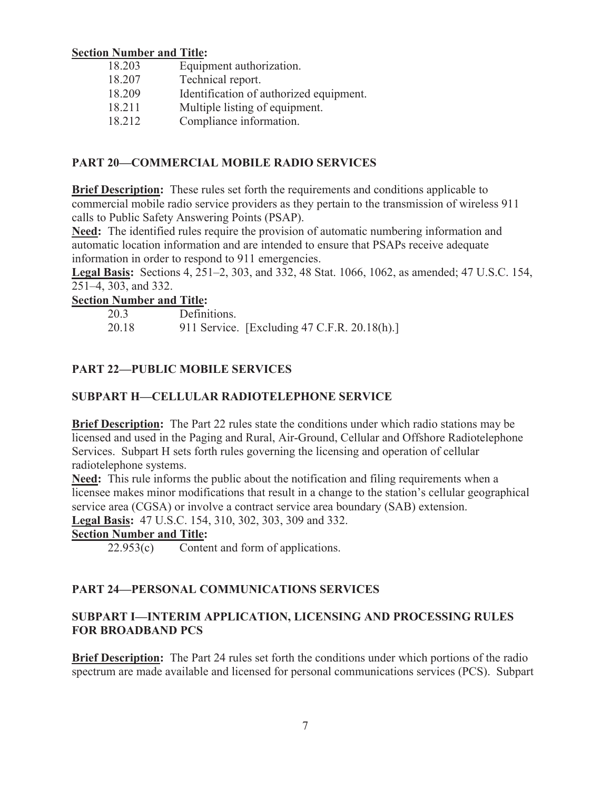#### **Section Number and Title:**

| 18.203 | Equipment authorization.                |
|--------|-----------------------------------------|
| 18.207 | Technical report.                       |
| 18.209 | Identification of authorized equipment. |
| 18.211 | Multiple listing of equipment.          |
| 18.212 | Compliance information.                 |

### **PART 20—COMMERCIAL MOBILE RADIO SERVICES**

**Brief Description:** These rules set forth the requirements and conditions applicable to commercial mobile radio service providers as they pertain to the transmission of wireless 911 calls to Public Safety Answering Points (PSAP).

**Need:** The identified rules require the provision of automatic numbering information and automatic location information and are intended to ensure that PSAPs receive adequate information in order to respond to 911 emergencies.

**Legal Basis:** Sections 4, 251–2, 303, and 332, 48 Stat. 1066, 1062, as amended; 47 U.S.C. 154, 251–4, 303, and 332.

### **Section Number and Title:**

| 20.3  | Definitions.                                 |
|-------|----------------------------------------------|
| 20.18 | 911 Service. [Excluding 47 C.F.R. 20.18(h).] |

## **PART 22—PUBLIC MOBILE SERVICES**

## **SUBPART H—CELLULAR RADIOTELEPHONE SERVICE**

**Brief Description:** The Part 22 rules state the conditions under which radio stations may be licensed and used in the Paging and Rural, Air-Ground, Cellular and Offshore Radiotelephone Services. Subpart H sets forth rules governing the licensing and operation of cellular radiotelephone systems.

**Need:** This rule informs the public about the notification and filing requirements when a licensee makes minor modifications that result in a change to the station's cellular geographical service area (CGSA) or involve a contract service area boundary (SAB) extension. **Legal Basis:** 47 U.S.C. 154, 310, 302, 303, 309 and 332.

## **Section Number and Title:**

22.953(c) Content and form of applications.

### **PART 24—PERSONAL COMMUNICATIONS SERVICES**

### **SUBPART I—INTERIM APPLICATION, LICENSING AND PROCESSING RULES FOR BROADBAND PCS**

**Brief Description:** The Part 24 rules set forth the conditions under which portions of the radio spectrum are made available and licensed for personal communications services (PCS). Subpart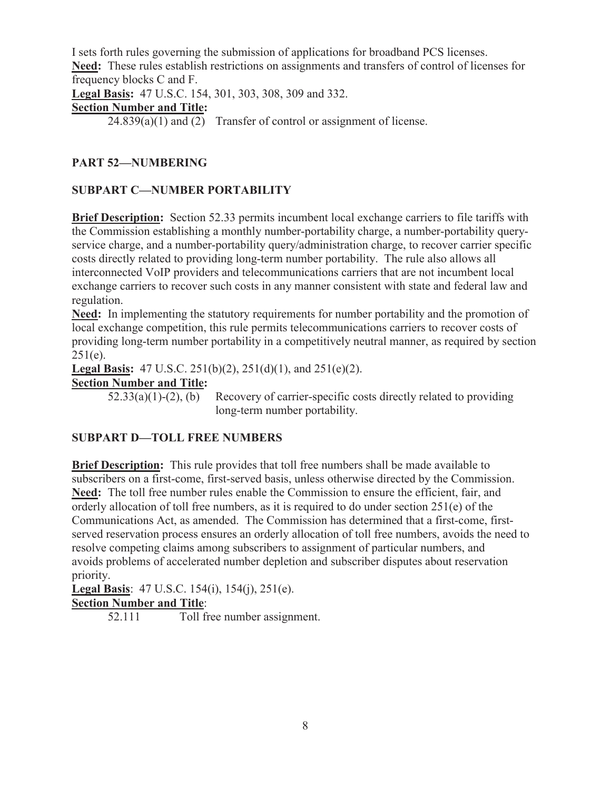I sets forth rules governing the submission of applications for broadband PCS licenses. **Need:** These rules establish restrictions on assignments and transfers of control of licenses for frequency blocks C and F.

**Legal Basis:** 47 U.S.C. 154, 301, 303, 308, 309 and 332.

**Section Number and Title:** 

 $24.839(a)(1)$  and  $(2)$  Transfer of control or assignment of license.

## **PART 52—NUMBERING**

## **SUBPART C—NUMBER PORTABILITY**

**Brief Description:** Section 52.33 permits incumbent local exchange carriers to file tariffs with the Commission establishing a monthly number-portability charge, a number-portability queryservice charge, and a number-portability query/administration charge, to recover carrier specific costs directly related to providing long-term number portability. The rule also allows all interconnected VoIP providers and telecommunications carriers that are not incumbent local exchange carriers to recover such costs in any manner consistent with state and federal law and regulation.

**Need:** In implementing the statutory requirements for number portability and the promotion of local exchange competition, this rule permits telecommunications carriers to recover costs of providing long-term number portability in a competitively neutral manner, as required by section  $251(e)$ .

**Legal Basis:** 47 U.S.C. 251(b)(2), 251(d)(1), and 251(e)(2).

**Section Number and Title:** 

 $52.33(a)(1)-(2)$ , (b) Recovery of carrier-specific costs directly related to providing long-term number portability.

### **SUBPART D—TOLL FREE NUMBERS**

**Brief Description:** This rule provides that toll free numbers shall be made available to subscribers on a first-come, first-served basis, unless otherwise directed by the Commission. **Need:** The toll free number rules enable the Commission to ensure the efficient, fair, and orderly allocation of toll free numbers, as it is required to do under section 251(e) of the Communications Act, as amended. The Commission has determined that a first-come, firstserved reservation process ensures an orderly allocation of toll free numbers, avoids the need to resolve competing claims among subscribers to assignment of particular numbers, and avoids problems of accelerated number depletion and subscriber disputes about reservation priority.

**Legal Basis**: 47 U.S.C. 154(i), 154(j), 251(e). **Section Number and Title**:

52.111 Toll free number assignment.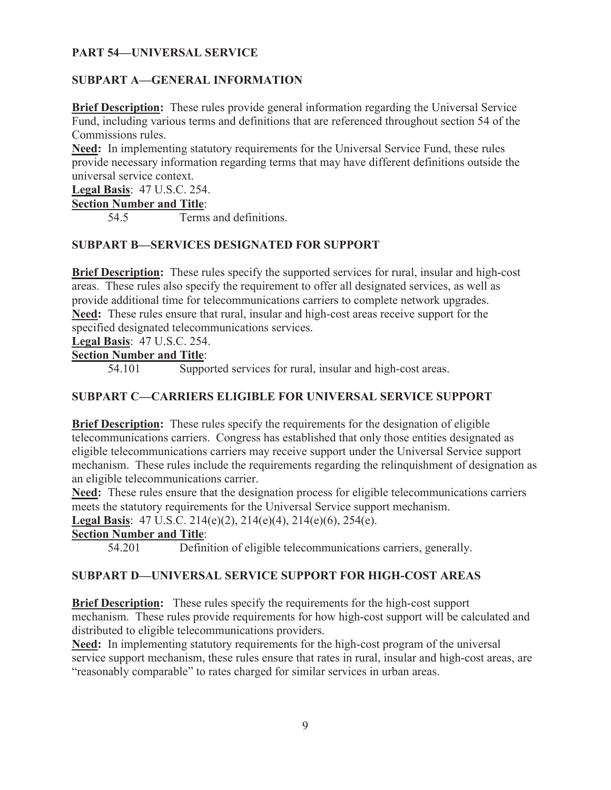### **PART 54—UNIVERSAL SERVICE**

#### **SUBPART A—GENERAL INFORMATION**

**Brief Description:** These rules provide general information regarding the Universal Service Fund, including various terms and definitions that are referenced throughout section 54 of the Commissions rules.

**Need:** In implementing statutory requirements for the Universal Service Fund, these rules provide necessary information regarding terms that may have different definitions outside the universal service context.

**Legal Basis**: 47 U.S.C. 254. **Section Number and Title**:

54.5 Terms and definitions.

#### **SUBPART B—SERVICES DESIGNATED FOR SUPPORT**

**Brief Description:** These rules specify the supported services for rural, insular and high-cost areas. These rules also specify the requirement to offer all designated services, as well as provide additional time for telecommunications carriers to complete network upgrades. **Need:** These rules ensure that rural, insular and high-cost areas receive support for the specified designated telecommunications services.

**Legal Basis**: 47 U.S.C. 254.

## **Section Number and Title**:

54.101 Supported services for rural, insular and high-cost areas.

### **SUBPART C—CARRIERS ELIGIBLE FOR UNIVERSAL SERVICE SUPPORT**

**Brief Description:** These rules specify the requirements for the designation of eligible telecommunications carriers. Congress has established that only those entities designated as eligible telecommunications carriers may receive support under the Universal Service support mechanism. These rules include the requirements regarding the relinquishment of designation as an eligible telecommunications carrier.

**Need:** These rules ensure that the designation process for eligible telecommunications carriers meets the statutory requirements for the Universal Service support mechanism.

**Legal Basis**: 47 U.S.C. 214(e)(2), 214(e)(4), 214(e)(6), 254(e).

## **Section Number and Title**:

54.201 Definition of eligible telecommunications carriers, generally.

#### **SUBPART D—UNIVERSAL SERVICE SUPPORT FOR HIGH-COST AREAS**

**Brief Description:** These rules specify the requirements for the high-cost support mechanism. These rules provide requirements for how high-cost support will be calculated and distributed to eligible telecommunications providers.

**Need:** In implementing statutory requirements for the high-cost program of the universal service support mechanism, these rules ensure that rates in rural, insular and high-cost areas, are "reasonably comparable" to rates charged for similar services in urban areas.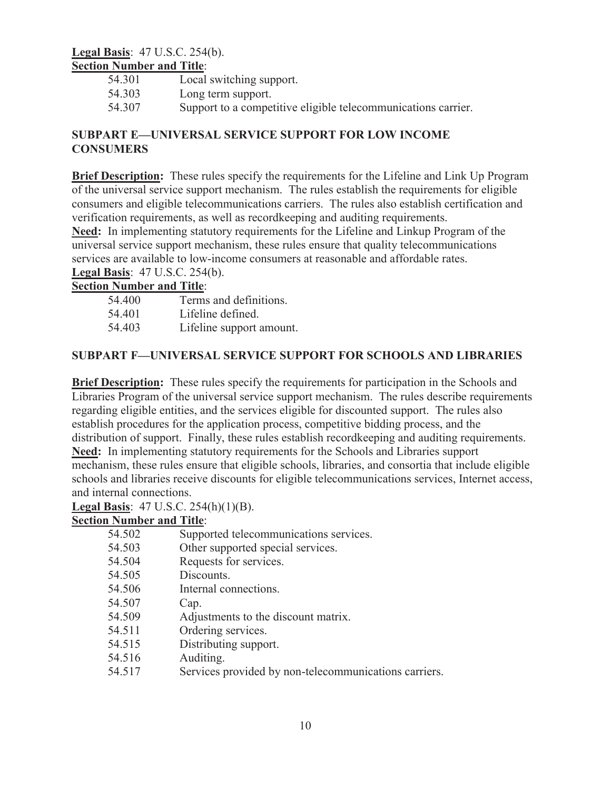#### **Legal Basis**: 47 U.S.C. 254(b). **Section Number and Title**:

| 54.301 | Local switching support.                                      |
|--------|---------------------------------------------------------------|
| 54.303 | Long term support.                                            |
| 54.307 | Support to a competitive eligible telecommunications carrier. |

### **SUBPART E—UNIVERSAL SERVICE SUPPORT FOR LOW INCOME CONSUMERS**

**Brief Description:** These rules specify the requirements for the Lifeline and Link Up Program of the universal service support mechanism. The rules establish the requirements for eligible consumers and eligible telecommunications carriers. The rules also establish certification and verification requirements, as well as recordkeeping and auditing requirements.

**Need:** In implementing statutory requirements for the Lifeline and Linkup Program of the universal service support mechanism, these rules ensure that quality telecommunications services are available to low-income consumers at reasonable and affordable rates. **Legal Basis**: 47 U.S.C. 254(b).

## **Section Number and Title**:

| 54.400 | Terms and definitions.   |
|--------|--------------------------|
| 54.401 | Lifeline defined.        |
| 54.403 | Lifeline support amount. |

## **SUBPART F—UNIVERSAL SERVICE SUPPORT FOR SCHOOLS AND LIBRARIES**

**Brief Description:** These rules specify the requirements for participation in the Schools and Libraries Program of the universal service support mechanism. The rules describe requirements regarding eligible entities, and the services eligible for discounted support. The rules also establish procedures for the application process, competitive bidding process, and the distribution of support. Finally, these rules establish recordkeeping and auditing requirements. **Need:** In implementing statutory requirements for the Schools and Libraries support mechanism, these rules ensure that eligible schools, libraries, and consortia that include eligible schools and libraries receive discounts for eligible telecommunications services, Internet access, and internal connections.

**Legal Basis**: 47 U.S.C. 254(h)(1)(B).

| 54.502 | Supported telecommunications services.                |
|--------|-------------------------------------------------------|
| 54.503 | Other supported special services.                     |
| 54.504 | Requests for services.                                |
| 54.505 | Discounts.                                            |
| 54.506 | Internal connections.                                 |
| 54.507 | Cap.                                                  |
| 54.509 | Adjustments to the discount matrix.                   |
| 54.511 | Ordering services.                                    |
| 54.515 | Distributing support.                                 |
| 54.516 | Auditing.                                             |
| 54.517 | Services provided by non-telecommunications carriers. |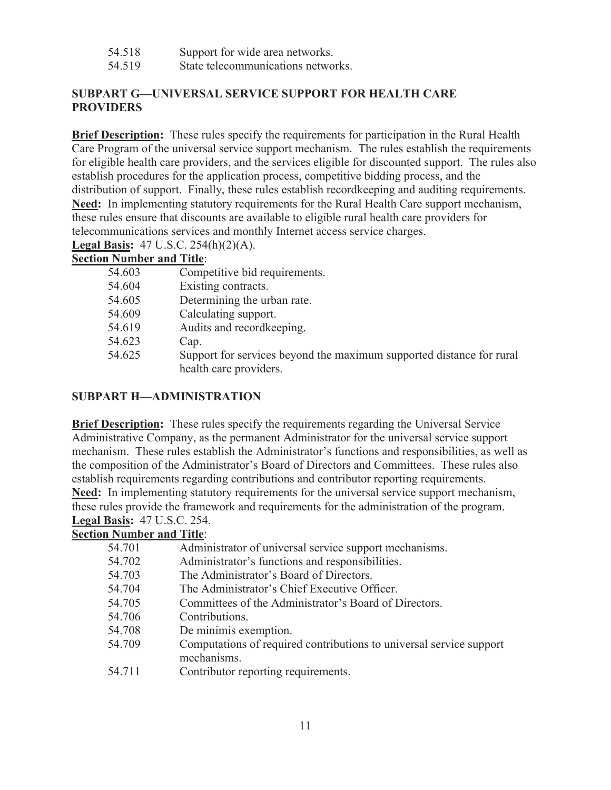- 54.518 Support for wide area networks.
- 54.519 State telecommunications networks.

## **SUBPART G—UNIVERSAL SERVICE SUPPORT FOR HEALTH CARE PROVIDERS**

**Brief Description:** These rules specify the requirements for participation in the Rural Health Care Program of the universal service support mechanism. The rules establish the requirements for eligible health care providers, and the services eligible for discounted support. The rules also establish procedures for the application process, competitive bidding process, and the distribution of support. Finally, these rules establish recordkeeping and auditing requirements. **Need:** In implementing statutory requirements for the Rural Health Care support mechanism, these rules ensure that discounts are available to eligible rural health care providers for telecommunications services and monthly Internet access service charges.

**Legal Basis:** 47 U.S.C. 254(h)(2)(A).

**Section Number and Title**:

| 54.603 | Competitive bid requirements.                                                                  |
|--------|------------------------------------------------------------------------------------------------|
| 54.604 | Existing contracts.                                                                            |
| 54.605 | Determining the urban rate.                                                                    |
| 54.609 | Calculating support.                                                                           |
| 54.619 | Audits and record keeping.                                                                     |
| 54.623 | Cap.                                                                                           |
| 54.625 | Support for services beyond the maximum supported distance for rural<br>health care providers. |

## **SUBPART H—ADMINISTRATION**

**Brief Description:** These rules specify the requirements regarding the Universal Service Administrative Company, as the permanent Administrator for the universal service support mechanism. These rules establish the Administrator's functions and responsibilities, as well as the composition of the Administrator's Board of Directors and Committees. These rules also establish requirements regarding contributions and contributor reporting requirements. **Need:** In implementing statutory requirements for the universal service support mechanism, these rules provide the framework and requirements for the administration of the program. **Legal Basis:** 47 U.S.C. 254.

| 54.701 | Administrator of universal service support mechanisms.              |
|--------|---------------------------------------------------------------------|
| 54.702 | Administrator's functions and responsibilities.                     |
| 54.703 | The Administrator's Board of Directors.                             |
| 54.704 | The Administrator's Chief Executive Officer.                        |
| 54.705 | Committees of the Administrator's Board of Directors.               |
| 54.706 | Contributions.                                                      |
| 54.708 | De minimis exemption.                                               |
| 54.709 | Computations of required contributions to universal service support |
|        | mechanisms.                                                         |
| 54.711 | Contributor reporting requirements.                                 |
|        |                                                                     |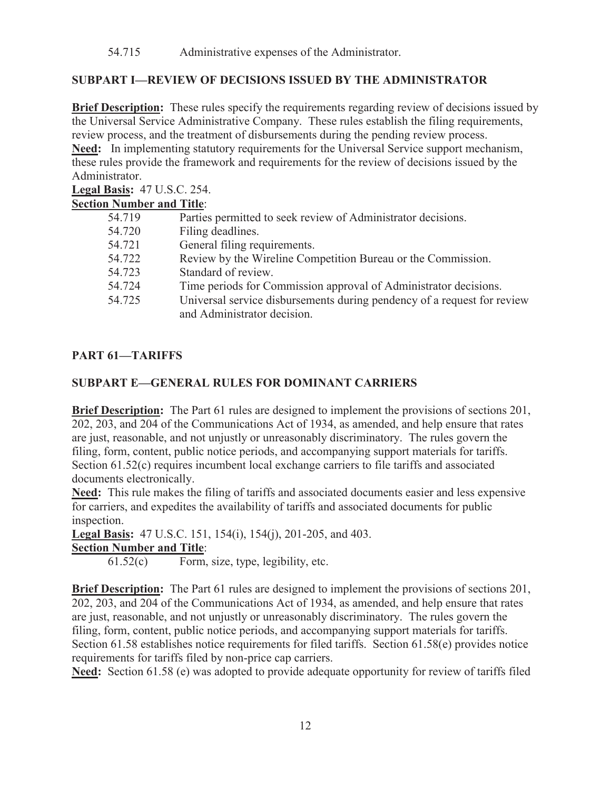## **SUBPART I—REVIEW OF DECISIONS ISSUED BY THE ADMINISTRATOR**

**Brief Description:** These rules specify the requirements regarding review of decisions issued by the Universal Service Administrative Company. These rules establish the filing requirements, review process, and the treatment of disbursements during the pending review process.

**Need:** In implementing statutory requirements for the Universal Service support mechanism, these rules provide the framework and requirements for the review of decisions issued by the Administrator.

**Legal Basis:** 47 U.S.C. 254.

## **Section Number and Title**:

| 54.719 | Parties permitted to seek review of Administrator decisions.                                           |
|--------|--------------------------------------------------------------------------------------------------------|
| 54.720 | Filing deadlines.                                                                                      |
| 54.721 | General filing requirements.                                                                           |
| 54.722 | Review by the Wireline Competition Bureau or the Commission.                                           |
| 54.723 | Standard of review.                                                                                    |
| 54.724 | Time periods for Commission approval of Administrator decisions.                                       |
| 54.725 | Universal service disbursements during pendency of a request for review<br>and Administrator decision. |

## **PART 61—TARIFFS**

## **SUBPART E—GENERAL RULES FOR DOMINANT CARRIERS**

**Brief Description:** The Part 61 rules are designed to implement the provisions of sections 201, 202, 203, and 204 of the Communications Act of 1934, as amended, and help ensure that rates are just, reasonable, and not unjustly or unreasonably discriminatory. The rules govern the filing, form, content, public notice periods, and accompanying support materials for tariffs. Section 61.52(c) requires incumbent local exchange carriers to file tariffs and associated documents electronically.

**Need:** This rule makes the filing of tariffs and associated documents easier and less expensive for carriers, and expedites the availability of tariffs and associated documents for public inspection.

**Legal Basis:** 47 U.S.C. 151, 154(i), 154(j), 201-205, and 403. **Section Number and Title**:

61.52(c) Form, size, type, legibility, etc.

**Brief Description:** The Part 61 rules are designed to implement the provisions of sections 201, 202, 203, and 204 of the Communications Act of 1934, as amended, and help ensure that rates are just, reasonable, and not unjustly or unreasonably discriminatory. The rules govern the filing, form, content, public notice periods, and accompanying support materials for tariffs. Section 61.58 establishes notice requirements for filed tariffs. Section 61.58(e) provides notice requirements for tariffs filed by non-price cap carriers.

**Need:** Section 61.58 (e) was adopted to provide adequate opportunity for review of tariffs filed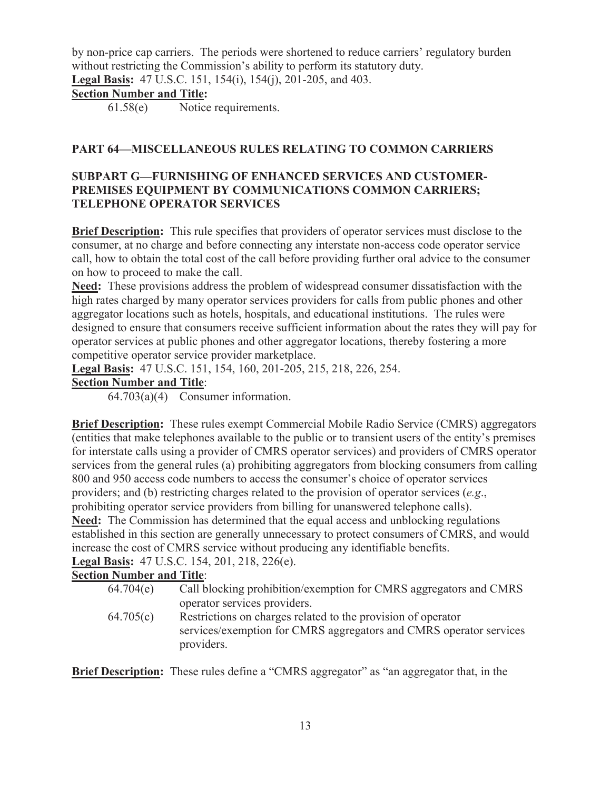by non-price cap carriers. The periods were shortened to reduce carriers' regulatory burden without restricting the Commission's ability to perform its statutory duty.

**Legal Basis:** 47 U.S.C. 151, 154(i), 154(j), 201-205, and 403.

## **Section Number and Title:**

61.58(e) Notice requirements.

## **PART 64—MISCELLANEOUS RULES RELATING TO COMMON CARRIERS**

## **SUBPART G—FURNISHING OF ENHANCED SERVICES AND CUSTOMER-PREMISES EQUIPMENT BY COMMUNICATIONS COMMON CARRIERS; TELEPHONE OPERATOR SERVICES**

**Brief Description:** This rule specifies that providers of operator services must disclose to the consumer, at no charge and before connecting any interstate non-access code operator service call, how to obtain the total cost of the call before providing further oral advice to the consumer on how to proceed to make the call.

**Need:** These provisions address the problem of widespread consumer dissatisfaction with the high rates charged by many operator services providers for calls from public phones and other aggregator locations such as hotels, hospitals, and educational institutions. The rules were designed to ensure that consumers receive sufficient information about the rates they will pay for operator services at public phones and other aggregator locations, thereby fostering a more competitive operator service provider marketplace.

**Legal Basis:** 47 U.S.C. 151, 154, 160, 201-205, 215, 218, 226, 254.

## **Section Number and Title**:

64.703(a)(4) Consumer information.

**Brief Description:** These rules exempt Commercial Mobile Radio Service (CMRS) aggregators (entities that make telephones available to the public or to transient users of the entity's premises for interstate calls using a provider of CMRS operator services) and providers of CMRS operator services from the general rules (a) prohibiting aggregators from blocking consumers from calling 800 and 950 access code numbers to access the consumer's choice of operator services providers; and (b) restricting charges related to the provision of operator services (*e.g*., prohibiting operator service providers from billing for unanswered telephone calls). **Need:** The Commission has determined that the equal access and unblocking regulations established in this section are generally unnecessary to protect consumers of CMRS, and would increase the cost of CMRS service without producing any identifiable benefits.

**Legal Basis:** 47 U.S.C. 154, 201, 218, 226(e).

## **Section Number and Title**:

- 64.704(e) Call blocking prohibition/exemption for CMRS aggregators and CMRS operator services providers.
- 64.705(c) Restrictions on charges related to the provision of operator services/exemption for CMRS aggregators and CMRS operator services providers.

**Brief Description:** These rules define a "CMRS aggregator" as "an aggregator that, in the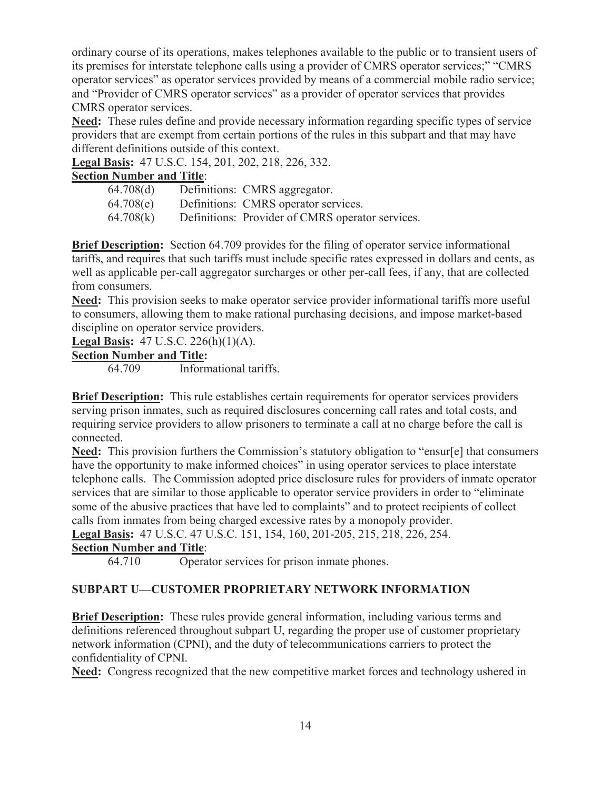ordinary course of its operations, makes telephones available to the public or to transient users of its premises for interstate telephone calls using a provider of CMRS operator services;" "CMRS operator services" as operator services provided by means of a commercial mobile radio service; and "Provider of CMRS operator services" as a provider of operator services that provides CMRS operator services.

**Need:** These rules define and provide necessary information regarding specific types of service providers that are exempt from certain portions of the rules in this subpart and that may have different definitions outside of this context.

**Legal Basis:** 47 U.S.C. 154, 201, 202, 218, 226, 332.

### **Section Number and Title**:

| 64.708(d) | Definitions: CMRS aggregator.                    |
|-----------|--------------------------------------------------|
| 64.708(e) | Definitions: CMRS operator services.             |
| 64.708(k) | Definitions: Provider of CMRS operator services. |

**Brief Description:** Section 64.709 provides for the filing of operator service informational tariffs, and requires that such tariffs must include specific rates expressed in dollars and cents, as well as applicable per-call aggregator surcharges or other per-call fees, if any, that are collected from consumers.

**Need:** This provision seeks to make operator service provider informational tariffs more useful to consumers, allowing them to make rational purchasing decisions, and impose market-based discipline on operator service providers.

**Legal Basis:** 47 U.S.C. 226(h)(1)(A).

#### **Section Number and Title:**

64.709 Informational tariffs.

**Brief Description:** This rule establishes certain requirements for operator services providers serving prison inmates, such as required disclosures concerning call rates and total costs, and requiring service providers to allow prisoners to terminate a call at no charge before the call is connected.

**Need:** This provision furthers the Commission's statutory obligation to "ensur[e] that consumers have the opportunity to make informed choices" in using operator services to place interstate telephone calls. The Commission adopted price disclosure rules for providers of inmate operator services that are similar to those applicable to operator service providers in order to "eliminate some of the abusive practices that have led to complaints" and to protect recipients of collect calls from inmates from being charged excessive rates by a monopoly provider.

**Legal Basis:** 47 U.S.C. 47 U.S.C. 151, 154, 160, 201-205, 215, 218, 226, 254.

### **Section Number and Title**:

64.710 Operator services for prison inmate phones.

## **SUBPART U—CUSTOMER PROPRIETARY NETWORK INFORMATION**

**Brief Description:** These rules provide general information, including various terms and definitions referenced throughout subpart U, regarding the proper use of customer proprietary network information (CPNI), and the duty of telecommunications carriers to protect the confidentiality of CPNI.

**Need:** Congress recognized that the new competitive market forces and technology ushered in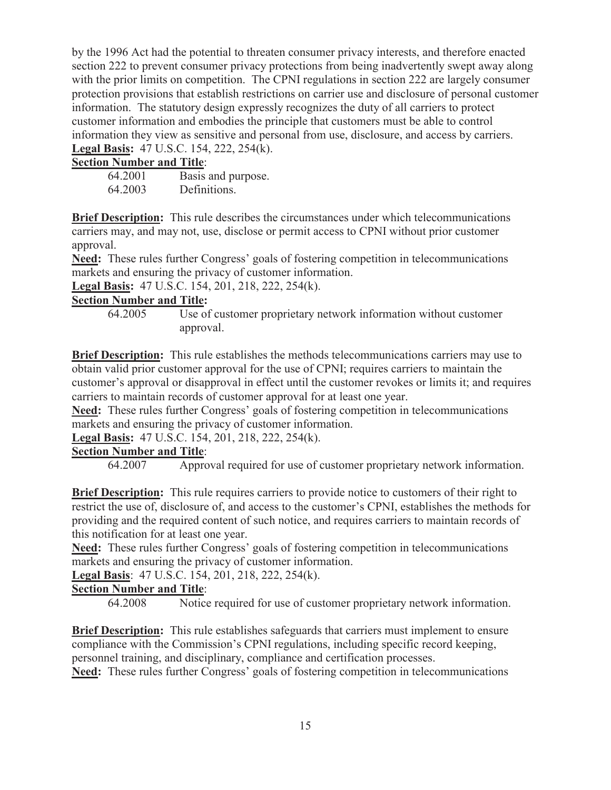by the 1996 Act had the potential to threaten consumer privacy interests, and therefore enacted section 222 to prevent consumer privacy protections from being inadvertently swept away along with the prior limits on competition. The CPNI regulations in section 222 are largely consumer protection provisions that establish restrictions on carrier use and disclosure of personal customer information. The statutory design expressly recognizes the duty of all carriers to protect customer information and embodies the principle that customers must be able to control information they view as sensitive and personal from use, disclosure, and access by carriers. **Legal Basis:** 47 U.S.C. 154, 222, 254(k).

## **Section Number and Title**:

64.2001 Basis and purpose. 64.2003 Definitions.

**Brief Description:** This rule describes the circumstances under which telecommunications carriers may, and may not, use, disclose or permit access to CPNI without prior customer approval.

**Need:** These rules further Congress' goals of fostering competition in telecommunications markets and ensuring the privacy of customer information.

**Legal Basis:** 47 U.S.C. 154, 201, 218, 222, 254(k).

## **Section Number and Title:**

64.2005 Use of customer proprietary network information without customer approval.

**Brief Description:** This rule establishes the methods telecommunications carriers may use to obtain valid prior customer approval for the use of CPNI; requires carriers to maintain the customer's approval or disapproval in effect until the customer revokes or limits it; and requires carriers to maintain records of customer approval for at least one year.

**Need:** These rules further Congress' goals of fostering competition in telecommunications markets and ensuring the privacy of customer information.

**Legal Basis:** 47 U.S.C. 154, 201, 218, 222, 254(k).

## **Section Number and Title**:

64.2007 Approval required for use of customer proprietary network information.

**Brief Description:** This rule requires carriers to provide notice to customers of their right to restrict the use of, disclosure of, and access to the customer's CPNI, establishes the methods for providing and the required content of such notice, and requires carriers to maintain records of this notification for at least one year.

**Need:** These rules further Congress' goals of fostering competition in telecommunications markets and ensuring the privacy of customer information.

**Legal Basis**: 47 U.S.C. 154, 201, 218, 222, 254(k).

## **Section Number and Title**:

64.2008 Notice required for use of customer proprietary network information.

**Brief Description:** This rule establishes safeguards that carriers must implement to ensure compliance with the Commission's CPNI regulations, including specific record keeping, personnel training, and disciplinary, compliance and certification processes.

**Need:** These rules further Congress' goals of fostering competition in telecommunications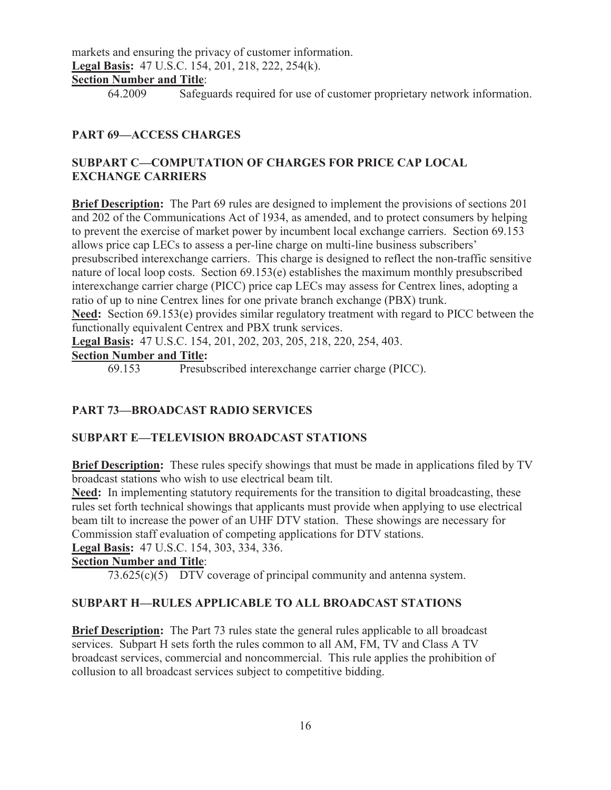markets and ensuring the privacy of customer information. **Legal Basis:** 47 U.S.C. 154, 201, 218, 222, 254(k).

## **Section Number and Title**:

64.2009 Safeguards required for use of customer proprietary network information.

## **PART 69—ACCESS CHARGES**

### **SUBPART C—COMPUTATION OF CHARGES FOR PRICE CAP LOCAL EXCHANGE CARRIERS**

**Brief Description:** The Part 69 rules are designed to implement the provisions of sections 201 and 202 of the Communications Act of 1934, as amended, and to protect consumers by helping to prevent the exercise of market power by incumbent local exchange carriers. Section 69.153 allows price cap LECs to assess a per-line charge on multi-line business subscribers' presubscribed interexchange carriers. This charge is designed to reflect the non-traffic sensitive nature of local loop costs. Section 69.153(e) establishes the maximum monthly presubscribed interexchange carrier charge (PICC) price cap LECs may assess for Centrex lines, adopting a ratio of up to nine Centrex lines for one private branch exchange (PBX) trunk. **Need:** Section 69.153(e) provides similar regulatory treatment with regard to PICC between the functionally equivalent Centrex and PBX trunk services.

**Legal Basis:** 47 U.S.C. 154, 201, 202, 203, 205, 218, 220, 254, 403.

#### **Section Number and Title:**

69.153 Presubscribed interexchange carrier charge (PICC).

### **PART 73—BROADCAST RADIO SERVICES**

### **SUBPART E—TELEVISION BROADCAST STATIONS**

**Brief Description:** These rules specify showings that must be made in applications filed by TV broadcast stations who wish to use electrical beam tilt.

**Need:** In implementing statutory requirements for the transition to digital broadcasting, these rules set forth technical showings that applicants must provide when applying to use electrical beam tilt to increase the power of an UHF DTV station. These showings are necessary for Commission staff evaluation of competing applications for DTV stations.

**Legal Basis:** 47 U.S.C. 154, 303, 334, 336.

#### **Section Number and Title**:

73.625(c)(5) DTV coverage of principal community and antenna system.

### **SUBPART H—RULES APPLICABLE TO ALL BROADCAST STATIONS**

**Brief Description:** The Part 73 rules state the general rules applicable to all broadcast services. Subpart H sets forth the rules common to all AM, FM, TV and Class A TV broadcast services, commercial and noncommercial. This rule applies the prohibition of collusion to all broadcast services subject to competitive bidding.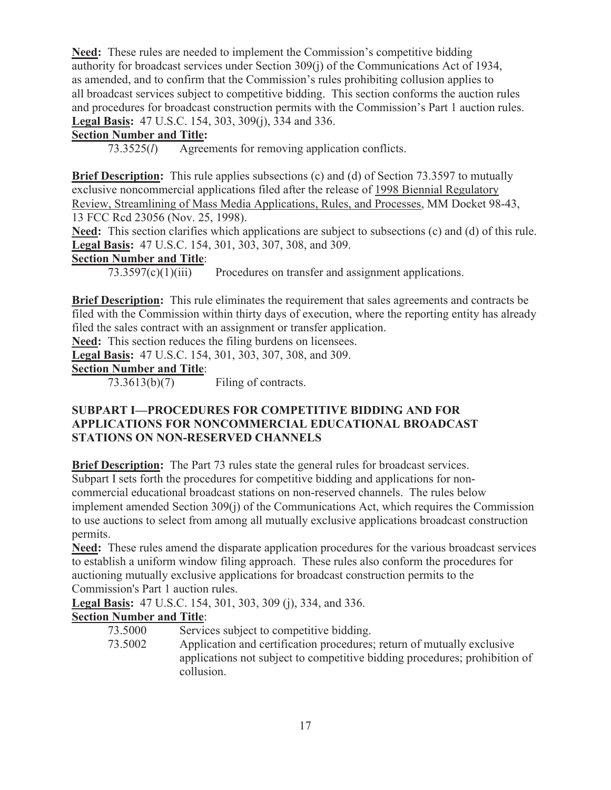**Need:** These rules are needed to implement the Commission's competitive bidding authority for broadcast services under Section 309(j) of the Communications Act of 1934, as amended, and to confirm that the Commission's rules prohibiting collusion applies to all broadcast services subject to competitive bidding. This section conforms the auction rules and procedures for broadcast construction permits with the Commission's Part 1 auction rules. **Legal Basis:** 47 U.S.C. 154, 303, 309(j), 334 and 336.

## **Section Number and Title:**

73.3525(*l*) Agreements for removing application conflicts.

**Brief Description:** This rule applies subsections (c) and (d) of Section 73.3597 to mutually exclusive noncommercial applications filed after the release of 1998 Biennial Regulatory Review, Streamlining of Mass Media Applications, Rules, and Processes, MM Docket 98-43, 13 FCC Rcd 23056 (Nov. 25, 1998).

**Need:** This section clarifies which applications are subject to subsections (c) and (d) of this rule. **Legal Basis:** 47 U.S.C. 154, 301, 303, 307, 308, and 309.

## **Section Number and Title**:

73.3597(c)(1)(iii) Procedures on transfer and assignment applications.

**Brief Description:** This rule eliminates the requirement that sales agreements and contracts be filed with the Commission within thirty days of execution, where the reporting entity has already filed the sales contract with an assignment or transfer application.

**Need:** This section reduces the filing burdens on licensees.

**Legal Basis:** 47 U.S.C. 154, 301, 303, 307, 308, and 309.

## **Section Number and Title**:

73.3613(b)(7) Filing of contracts.

## **SUBPART I—PROCEDURES FOR COMPETITIVE BIDDING AND FOR APPLICATIONS FOR NONCOMMERCIAL EDUCATIONAL BROADCAST STATIONS ON NON-RESERVED CHANNELS**

**Brief Description:** The Part 73 rules state the general rules for broadcast services. Subpart I sets forth the procedures for competitive bidding and applications for noncommercial educational broadcast stations on non-reserved channels. The rules below implement amended Section 309(j) of the Communications Act, which requires the Commission to use auctions to select from among all mutually exclusive applications broadcast construction permits.

**Need:** These rules amend the disparate application procedures for the various broadcast services to establish a uniform window filing approach. These rules also conform the procedures for auctioning mutually exclusive applications for broadcast construction permits to the Commission's Part 1 auction rules.

**Legal Basis:** 47 U.S.C. 154, 301, 303, 309 (j), 334, and 336.

- 73.5000 Services subject to competitive bidding.
- 73.5002 Application and certification procedures; return of mutually exclusive applications not subject to competitive bidding procedures; prohibition of collusion.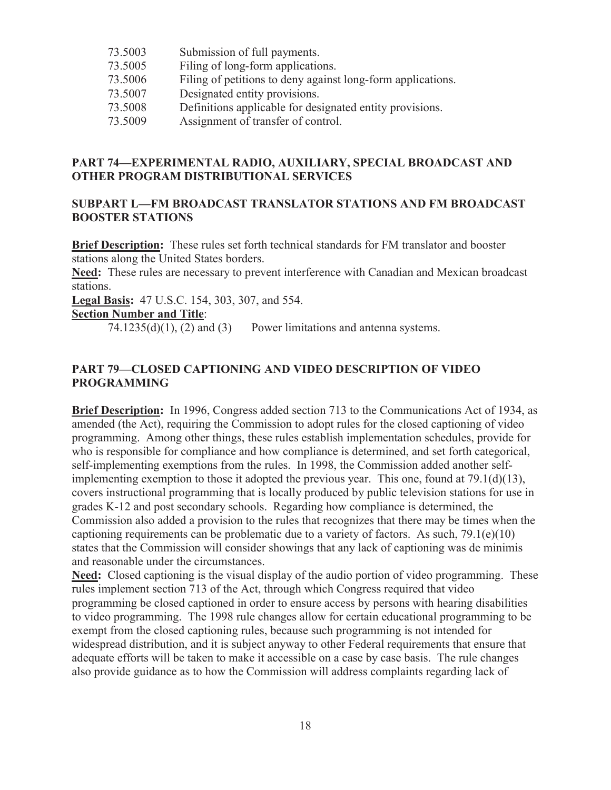- 73.5003 Submission of full payments.
- 73.5005 Filing of long-form applications.
- 73.5006 Filing of petitions to deny against long-form applications.
- 73.5007 Designated entity provisions.
- 73.5008 Definitions applicable for designated entity provisions.
- 73.5009 Assignment of transfer of control.

#### **PART 74—EXPERIMENTAL RADIO, AUXILIARY, SPECIAL BROADCAST AND OTHER PROGRAM DISTRIBUTIONAL SERVICES**

#### **SUBPART L—FM BROADCAST TRANSLATOR STATIONS AND FM BROADCAST BOOSTER STATIONS**

**Brief Description:** These rules set forth technical standards for FM translator and booster stations along the United States borders.

**Need:** These rules are necessary to prevent interference with Canadian and Mexican broadcast stations.

**Legal Basis:** 47 U.S.C. 154, 303, 307, and 554.

#### **Section Number and Title**:

 $74.1235(d)(1)$ ,  $(2)$  and  $(3)$  Power limitations and antenna systems.

#### **PART 79—CLOSED CAPTIONING AND VIDEO DESCRIPTION OF VIDEO PROGRAMMING**

**Brief Description:** In 1996, Congress added section 713 to the Communications Act of 1934, as amended (the Act), requiring the Commission to adopt rules for the closed captioning of video programming. Among other things, these rules establish implementation schedules, provide for who is responsible for compliance and how compliance is determined, and set forth categorical, self-implementing exemptions from the rules. In 1998, the Commission added another selfimplementing exemption to those it adopted the previous year. This one, found at 79.1(d)(13), covers instructional programming that is locally produced by public television stations for use in grades K-12 and post secondary schools. Regarding how compliance is determined, the Commission also added a provision to the rules that recognizes that there may be times when the captioning requirements can be problematic due to a variety of factors. As such,  $79.1(e)(10)$ states that the Commission will consider showings that any lack of captioning was de minimis and reasonable under the circumstances.

**Need:** Closed captioning is the visual display of the audio portion of video programming. These rules implement section 713 of the Act, through which Congress required that video programming be closed captioned in order to ensure access by persons with hearing disabilities to video programming. The 1998 rule changes allow for certain educational programming to be exempt from the closed captioning rules, because such programming is not intended for widespread distribution, and it is subject anyway to other Federal requirements that ensure that adequate efforts will be taken to make it accessible on a case by case basis. The rule changes also provide guidance as to how the Commission will address complaints regarding lack of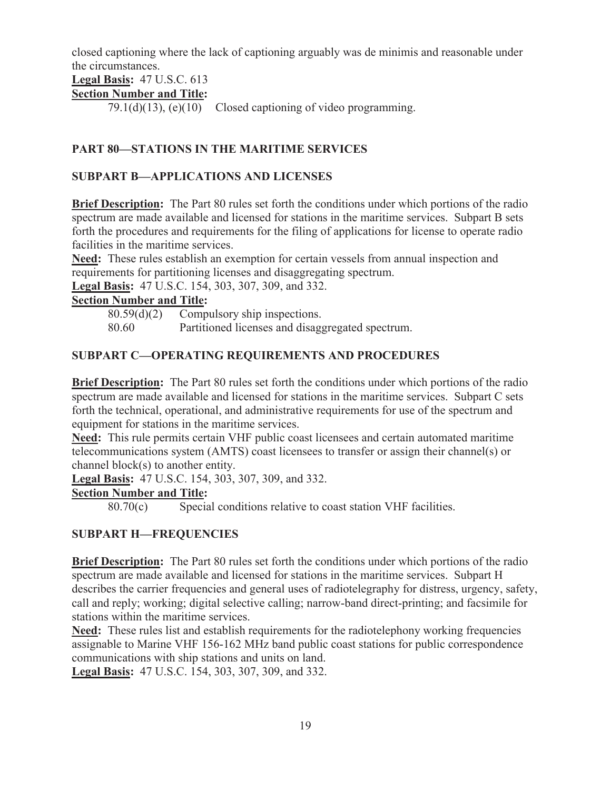closed captioning where the lack of captioning arguably was de minimis and reasonable under the circumstances.

**Legal Basis:** 47 U.S.C. 613

## **Section Number and Title:**

79.1(d)(13), (e)(10) Closed captioning of video programming.

## **PART 80—STATIONS IN THE MARITIME SERVICES**

## **SUBPART B—APPLICATIONS AND LICENSES**

**Brief Description:** The Part 80 rules set forth the conditions under which portions of the radio spectrum are made available and licensed for stations in the maritime services. Subpart B sets forth the procedures and requirements for the filing of applications for license to operate radio facilities in the maritime services.

**Need:** These rules establish an exemption for certain vessels from annual inspection and requirements for partitioning licenses and disaggregating spectrum.

**Legal Basis:** 47 U.S.C. 154, 303, 307, 309, and 332.

#### **Section Number and Title:**

80.59(d)(2) Compulsory ship inspections.

80.60 Partitioned licenses and disaggregated spectrum.

## **SUBPART C—OPERATING REQUIREMENTS AND PROCEDURES**

**Brief Description:** The Part 80 rules set forth the conditions under which portions of the radio spectrum are made available and licensed for stations in the maritime services. Subpart C sets forth the technical, operational, and administrative requirements for use of the spectrum and equipment for stations in the maritime services.

**Need:** This rule permits certain VHF public coast licensees and certain automated maritime telecommunications system (AMTS) coast licensees to transfer or assign their channel(s) or channel block(s) to another entity.

**Legal Basis:** 47 U.S.C. 154, 303, 307, 309, and 332.

### **Section Number and Title:**

80.70(c) Special conditions relative to coast station VHF facilities.

### **SUBPART H—FREQUENCIES**

**Brief Description:** The Part 80 rules set forth the conditions under which portions of the radio spectrum are made available and licensed for stations in the maritime services. Subpart H describes the carrier frequencies and general uses of radiotelegraphy for distress, urgency, safety, call and reply; working; digital selective calling; narrow-band direct-printing; and facsimile for stations within the maritime services.

**Need:** These rules list and establish requirements for the radiotelephony working frequencies assignable to Marine VHF 156-162 MHz band public coast stations for public correspondence communications with ship stations and units on land.

**Legal Basis:** 47 U.S.C. 154, 303, 307, 309, and 332.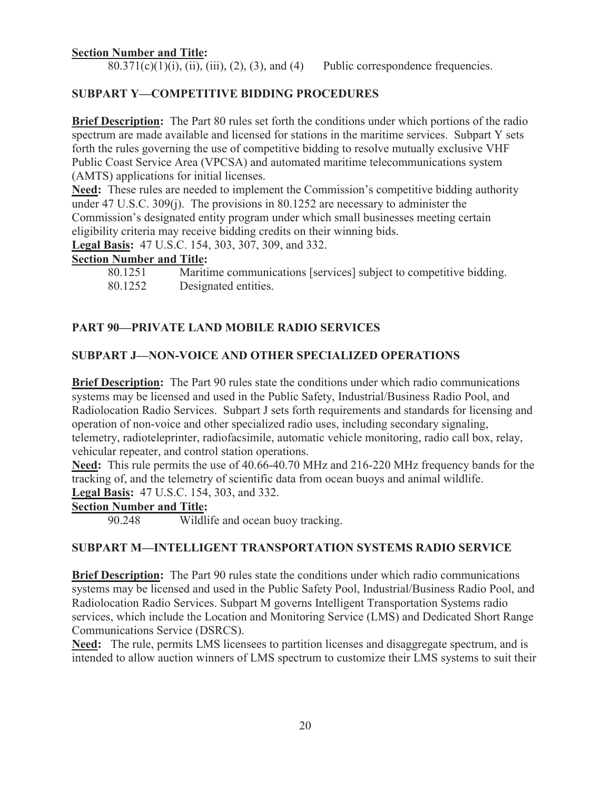#### **Section Number and Title:**

 $80.371(c)(1)(i)$ , (ii), (iii), (2), (3), and (4) Public correspondence frequencies.

#### **SUBPART Y—COMPETITIVE BIDDING PROCEDURES**

**Brief Description:** The Part 80 rules set forth the conditions under which portions of the radio spectrum are made available and licensed for stations in the maritime services. Subpart Y sets forth the rules governing the use of competitive bidding to resolve mutually exclusive VHF Public Coast Service Area (VPCSA) and automated maritime telecommunications system (AMTS) applications for initial licenses.

**Need:** These rules are needed to implement the Commission's competitive bidding authority under 47 U.S.C. 309(j). The provisions in 80.1252 are necessary to administer the Commission's designated entity program under which small businesses meeting certain eligibility criteria may receive bidding credits on their winning bids.

**Legal Basis:** 47 U.S.C. 154, 303, 307, 309, and 332.

#### **Section Number and Title:**

| 80.1251 | Maritime communications [services] subject to competitive bidding. |
|---------|--------------------------------------------------------------------|
| 80.1252 | Designated entities.                                               |

#### **PART 90—PRIVATE LAND MOBILE RADIO SERVICES**

#### **SUBPART J—NON-VOICE AND OTHER SPECIALIZED OPERATIONS**

**Brief Description:** The Part 90 rules state the conditions under which radio communications systems may be licensed and used in the Public Safety, Industrial/Business Radio Pool, and Radiolocation Radio Services. Subpart J sets forth requirements and standards for licensing and operation of non-voice and other specialized radio uses, including secondary signaling, telemetry, radioteleprinter, radiofacsimile, automatic vehicle monitoring, radio call box, relay, vehicular repeater, and control station operations.

**Need:** This rule permits the use of 40.66-40.70 MHz and 216-220 MHz frequency bands for the tracking of, and the telemetry of scientific data from ocean buoys and animal wildlife. **Legal Basis:** 47 U.S.C. 154, 303, and 332.

### **Section Number and Title:**

90.248 Wildlife and ocean buoy tracking.

#### **SUBPART M—INTELLIGENT TRANSPORTATION SYSTEMS RADIO SERVICE**

**Brief Description:** The Part 90 rules state the conditions under which radio communications systems may be licensed and used in the Public Safety Pool, Industrial/Business Radio Pool, and Radiolocation Radio Services. Subpart M governs Intelligent Transportation Systems radio services, which include the Location and Monitoring Service (LMS) and Dedicated Short Range Communications Service (DSRCS).

**Need:** The rule, permits LMS licensees to partition licenses and disaggregate spectrum, and is intended to allow auction winners of LMS spectrum to customize their LMS systems to suit their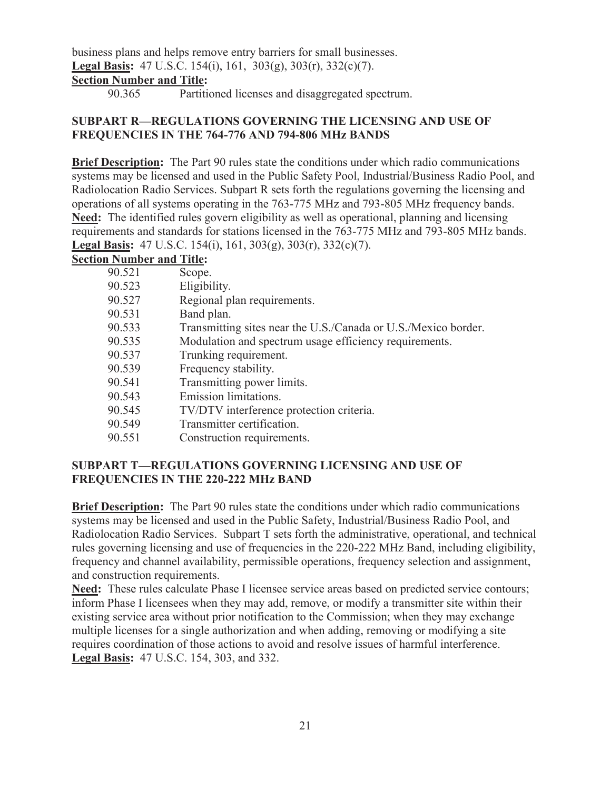business plans and helps remove entry barriers for small businesses. **Legal Basis:** 47 U.S.C. 154(i), 161, 303(g), 303(r), 332(c)(7). **Section Number and Title:**

90.365 Partitioned licenses and disaggregated spectrum.

### **SUBPART R—REGULATIONS GOVERNING THE LICENSING AND USE OF FREQUENCIES IN THE 764-776 AND 794-806 MHz BANDS**

**Brief Description:** The Part 90 rules state the conditions under which radio communications systems may be licensed and used in the Public Safety Pool, Industrial/Business Radio Pool, and Radiolocation Radio Services. Subpart R sets forth the regulations governing the licensing and operations of all systems operating in the 763-775 MHz and 793-805 MHz frequency bands. **Need:** The identified rules govern eligibility as well as operational, planning and licensing requirements and standards for stations licensed in the 763-775 MHz and 793-805 MHz bands. **Legal Basis:** 47 U.S.C. 154(i), 161, 303(g), 303(r), 332(c)(7).

#### **Section Number and Title:**

| 90.521 | Scope.                                                         |
|--------|----------------------------------------------------------------|
| 90.523 | Eligibility.                                                   |
| 90.527 | Regional plan requirements.                                    |
| 90.531 | Band plan.                                                     |
| 90.533 | Transmitting sites near the U.S./Canada or U.S./Mexico border. |
| 90.535 | Modulation and spectrum usage efficiency requirements.         |
| 90.537 | Trunking requirement.                                          |
| 90.539 | Frequency stability.                                           |
| 90.541 | Transmitting power limits.                                     |
| 90.543 | Emission limitations.                                          |
| 90.545 | TV/DTV interference protection criteria.                       |
| 90.549 | Transmitter certification.                                     |
| 90.551 | Construction requirements.                                     |

### **SUBPART T—REGULATIONS GOVERNING LICENSING AND USE OF FREQUENCIES IN THE 220-222 MHz BAND**

**Brief Description:** The Part 90 rules state the conditions under which radio communications systems may be licensed and used in the Public Safety, Industrial/Business Radio Pool, and Radiolocation Radio Services. Subpart T sets forth the administrative, operational, and technical rules governing licensing and use of frequencies in the 220-222 MHz Band, including eligibility, frequency and channel availability, permissible operations, frequency selection and assignment, and construction requirements.

**Need:** These rules calculate Phase I licensee service areas based on predicted service contours; inform Phase I licensees when they may add, remove, or modify a transmitter site within their existing service area without prior notification to the Commission; when they may exchange multiple licenses for a single authorization and when adding, removing or modifying a site requires coordination of those actions to avoid and resolve issues of harmful interference. **Legal Basis:** 47 U.S.C. 154, 303, and 332.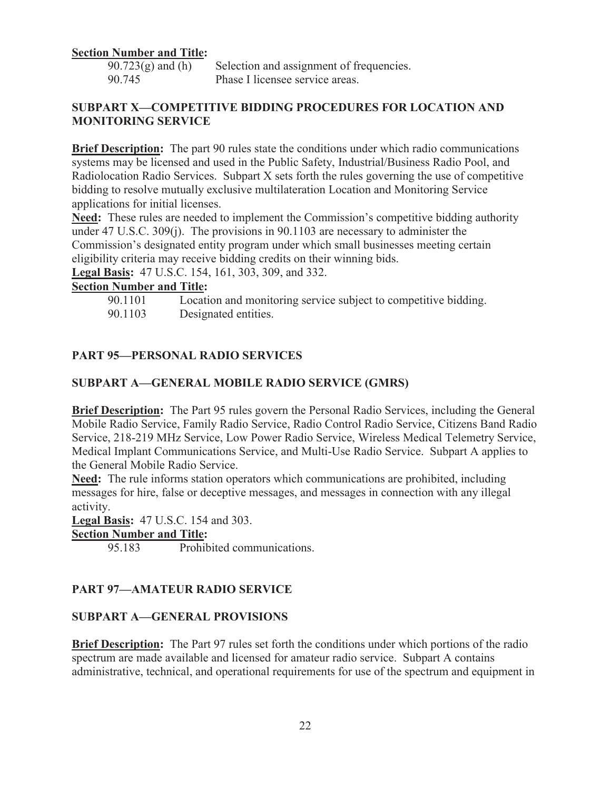#### **Section Number and Title:**

 $90.723(g)$  and (h) Selection and assignment of frequencies. 90.745 Phase I licensee service areas.

#### **SUBPART X—COMPETITIVE BIDDING PROCEDURES FOR LOCATION AND MONITORING SERVICE**

**Brief Description:** The part 90 rules state the conditions under which radio communications systems may be licensed and used in the Public Safety, Industrial/Business Radio Pool, and Radiolocation Radio Services. Subpart X sets forth the rules governing the use of competitive bidding to resolve mutually exclusive multilateration Location and Monitoring Service applications for initial licenses.

**Need:** These rules are needed to implement the Commission's competitive bidding authority under 47 U.S.C. 309(j). The provisions in 90.1103 are necessary to administer the Commission's designated entity program under which small businesses meeting certain eligibility criteria may receive bidding credits on their winning bids.

**Legal Basis:** 47 U.S.C. 154, 161, 303, 309, and 332.

#### **Section Number and Title:**

90.1101 Location and monitoring service subject to competitive bidding. 90.1103 Designated entities.

### **PART 95—PERSONAL RADIO SERVICES**

#### **SUBPART A—GENERAL MOBILE RADIO SERVICE (GMRS)**

**Brief Description:** The Part 95 rules govern the Personal Radio Services, including the General Mobile Radio Service, Family Radio Service, Radio Control Radio Service, Citizens Band Radio Service, 218-219 MHz Service, Low Power Radio Service, Wireless Medical Telemetry Service, Medical Implant Communications Service, and Multi-Use Radio Service. Subpart A applies to the General Mobile Radio Service.

**Need:** The rule informs station operators which communications are prohibited, including messages for hire, false or deceptive messages, and messages in connection with any illegal activity.

**Legal Basis:** 47 U.S.C. 154 and 303.

## **Section Number and Title:**

95.183 Prohibited communications.

#### **PART 97—AMATEUR RADIO SERVICE**

#### **SUBPART A—GENERAL PROVISIONS**

**Brief Description:** The Part 97 rules set forth the conditions under which portions of the radio spectrum are made available and licensed for amateur radio service. Subpart A contains administrative, technical, and operational requirements for use of the spectrum and equipment in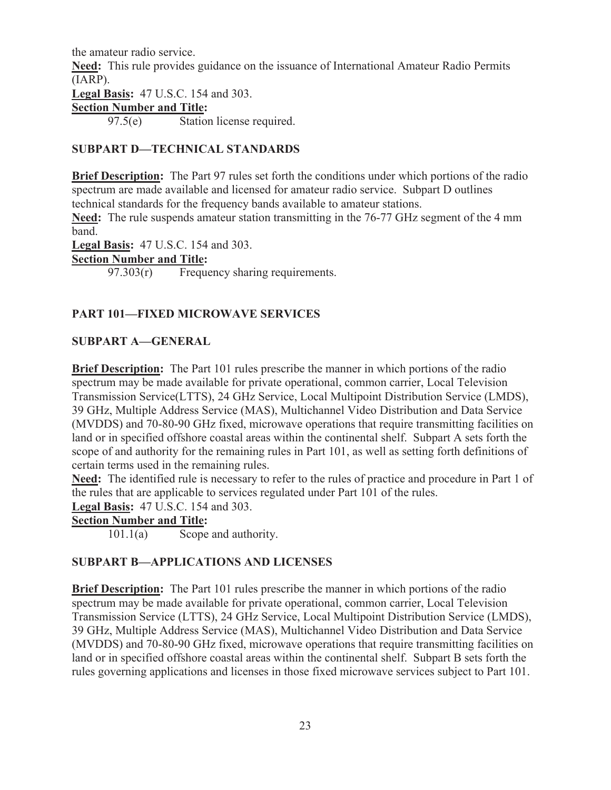the amateur radio service.

**Need:** This rule provides guidance on the issuance of International Amateur Radio Permits (IARP).

**Legal Basis:** 47 U.S.C. 154 and 303.

### **Section Number and Title:**

97.5(e) Station license required.

## **SUBPART D—TECHNICAL STANDARDS**

**Brief Description:** The Part 97 rules set forth the conditions under which portions of the radio spectrum are made available and licensed for amateur radio service. Subpart D outlines technical standards for the frequency bands available to amateur stations.

**Need:** The rule suspends amateur station transmitting in the 76-77 GHz segment of the 4 mm band.

**Legal Basis:** 47 U.S.C. 154 and 303.

## **Section Number and Title:**

97.303(r) Frequency sharing requirements.

## **PART 101—FIXED MICROWAVE SERVICES**

## **SUBPART A—GENERAL**

**Brief Description:** The Part 101 rules prescribe the manner in which portions of the radio spectrum may be made available for private operational, common carrier, Local Television Transmission Service(LTTS), 24 GHz Service, Local Multipoint Distribution Service (LMDS), 39 GHz, Multiple Address Service (MAS), Multichannel Video Distribution and Data Service (MVDDS) and 70-80-90 GHz fixed, microwave operations that require transmitting facilities on land or in specified offshore coastal areas within the continental shelf. Subpart A sets forth the scope of and authority for the remaining rules in Part 101, as well as setting forth definitions of certain terms used in the remaining rules.

**Need:** The identified rule is necessary to refer to the rules of practice and procedure in Part 1 of the rules that are applicable to services regulated under Part 101 of the rules.

**Legal Basis:** 47 U.S.C. 154 and 303.

## **Section Number and Title:**

101.1(a) Scope and authority.

## **SUBPART B—APPLICATIONS AND LICENSES**

**Brief Description:** The Part 101 rules prescribe the manner in which portions of the radio spectrum may be made available for private operational, common carrier, Local Television Transmission Service (LTTS), 24 GHz Service, Local Multipoint Distribution Service (LMDS), 39 GHz, Multiple Address Service (MAS), Multichannel Video Distribution and Data Service (MVDDS) and 70-80-90 GHz fixed, microwave operations that require transmitting facilities on land or in specified offshore coastal areas within the continental shelf. Subpart B sets forth the rules governing applications and licenses in those fixed microwave services subject to Part 101.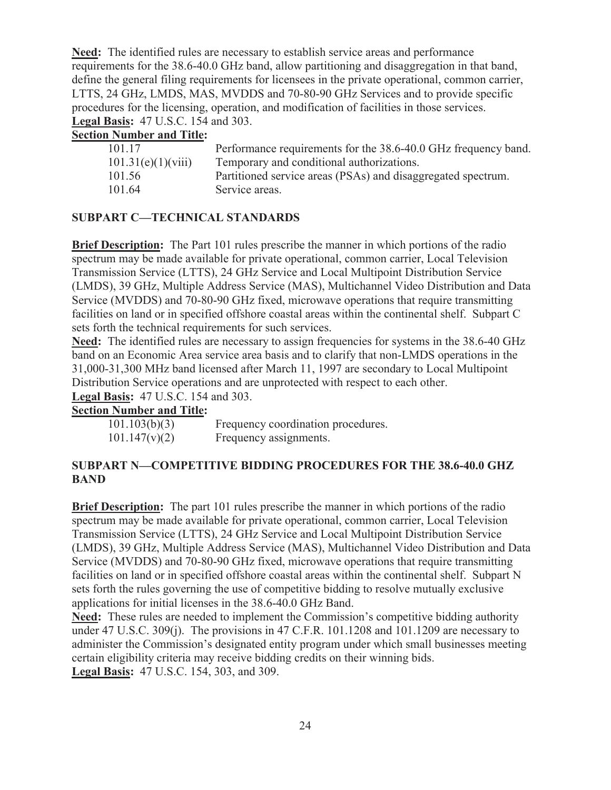**Need:** The identified rules are necessary to establish service areas and performance requirements for the 38.6-40.0 GHz band, allow partitioning and disaggregation in that band, define the general filing requirements for licensees in the private operational, common carrier, LTTS, 24 GHz, LMDS, MAS, MVDDS and 70-80-90 GHz Services and to provide specific procedures for the licensing, operation, and modification of facilities in those services. **Legal Basis:** 47 U.S.C. 154 and 303.

#### **Section Number and Title:**

| 101 17             | Performance requirements for the 38.6-40.0 GHz frequency band. |
|--------------------|----------------------------------------------------------------|
| 101.31(e)(1)(viii) | Temporary and conditional authorizations.                      |
| 101.56             | Partitioned service areas (PSAs) and disaggregated spectrum.   |
| 101.64             | Service areas.                                                 |

### **SUBPART C—TECHNICAL STANDARDS**

**Brief Description:** The Part 101 rules prescribe the manner in which portions of the radio spectrum may be made available for private operational, common carrier, Local Television Transmission Service (LTTS), 24 GHz Service and Local Multipoint Distribution Service (LMDS), 39 GHz, Multiple Address Service (MAS), Multichannel Video Distribution and Data Service (MVDDS) and 70-80-90 GHz fixed, microwave operations that require transmitting facilities on land or in specified offshore coastal areas within the continental shelf. Subpart C sets forth the technical requirements for such services.

**Need:** The identified rules are necessary to assign frequencies for systems in the 38.6-40 GHz band on an Economic Area service area basis and to clarify that non-LMDS operations in the 31,000-31,300 MHz band licensed after March 11, 1997 are secondary to Local Multipoint Distribution Service operations and are unprotected with respect to each other. **Legal Basis:** 47 U.S.C. 154 and 303.

#### **Section Number and Title:**

| 101.103(b)(3) | Frequency coordination procedures. |
|---------------|------------------------------------|
| 101.147(v)(2) | Frequency assignments.             |

## **SUBPART N—COMPETITIVE BIDDING PROCEDURES FOR THE 38.6-40.0 GHZ BAND**

**Brief Description:** The part 101 rules prescribe the manner in which portions of the radio spectrum may be made available for private operational, common carrier, Local Television Transmission Service (LTTS), 24 GHz Service and Local Multipoint Distribution Service (LMDS), 39 GHz, Multiple Address Service (MAS), Multichannel Video Distribution and Data Service (MVDDS) and 70-80-90 GHz fixed, microwave operations that require transmitting facilities on land or in specified offshore coastal areas within the continental shelf. Subpart N sets forth the rules governing the use of competitive bidding to resolve mutually exclusive applications for initial licenses in the 38.6-40.0 GHz Band.

**Need:** These rules are needed to implement the Commission's competitive bidding authority under 47 U.S.C. 309(j). The provisions in 47 C.F.R. 101.1208 and 101.1209 are necessary to administer the Commission's designated entity program under which small businesses meeting certain eligibility criteria may receive bidding credits on their winning bids. **Legal Basis:** 47 U.S.C. 154, 303, and 309.